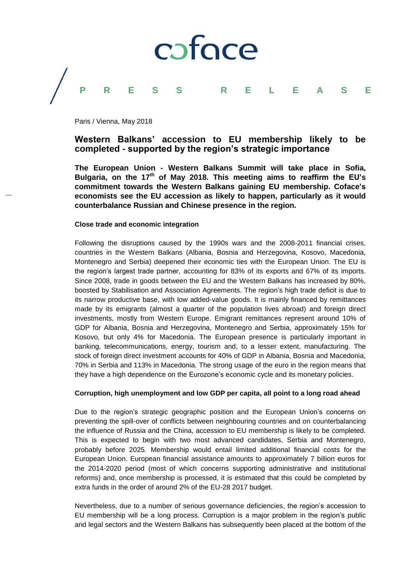

Paris / Vienna, May 2018

## **Western Balkans' accession to EU membership likely to be completed - supported by the region's strategic importance**

**The European Union - Western Balkans Summit will take place in Sofia, Bulgaria, on the 17th of May 2018. This meeting aims to reaffirm the EU's commitment towards the Western Balkans gaining EU membership. Coface's economists see the EU accession as likely to happen, particularly as it would counterbalance Russian and Chinese presence in the region.**

#### **Close trade and economic integration**

Following the disruptions caused by the 1990s wars and the 2008-2011 financial crises, countries in the Western Balkans (Albania, Bosnia and Herzegovina, Kosovo, Macedonia, Montenegro and Serbia) deepened their economic ties with the European Union. The EU is the region's largest trade partner, accounting for 83% of its exports and 67% of its imports. Since 2008, trade in goods between the EU and the Western Balkans has increased by 80%, boosted by Stabilisation and Association Agreements. The region's high trade deficit is due to its narrow productive base, with low added-value goods. It is mainly financed by remittances made by its emigrants (almost a quarter of the population lives abroad) and foreign direct investments, mostly from Western Europe. Emigrant remittances represent around 10% of GDP for Albania, Bosnia and Herzegovina, Montenegro and Serbia, approximately 15% for Kosovo, but only 4% for Macedonia. The European presence is particularly important in banking, telecommunications, energy, tourism and, to a lesser extent, manufacturing. The stock of foreign direct investment accounts for 40% of GDP in Albania, Bosnia and Macedonia, 70% in Serbia and 113% in Macedonia. The strong usage of the euro in the region means that they have a high dependence on the Eurozone's economic cycle and its monetary policies.

### **Corruption, high unemployment and low GDP per capita, all point to a long road ahead**

Due to the region's strategic geographic position and the European Union's concerns on preventing the spill-over of conflicts between neighbouring countries and on counterbalancing the influence of Russia and the China, accession to EU membership is likely to be completed. This is expected to begin with two most advanced candidates, Serbia and Montenegro, probably before 2025. Membership would entail limited additional financial costs for the European Union. European financial assistance amounts to approximately 7 billion euros for the 2014-2020 period (most of which concerns supporting administrative and institutional reforms) and, once membership is processed, it is estimated that this could be completed by extra funds in the order of around 2% of the EU-28 2017 budget.

Nevertheless, due to a number of serious governance deficiencies, the region's accession to EU membership will be a long process. Corruption is a major problem in the region's public and legal sectors and the Western Balkans has subsequently been placed at the bottom of the